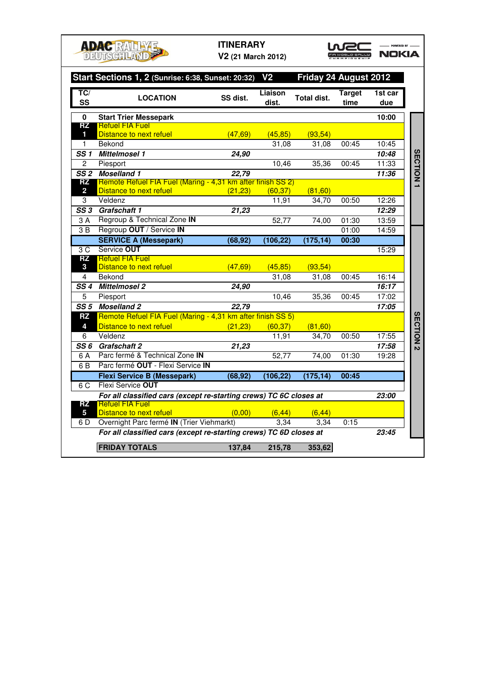|                         | <b>ADAC RALLYE</b><br><b>DEUTSCHLAND</b>                           | <b>ITINERARY</b><br>V2 (21 March 2012) |                  |                       |                       | POWERED BY<br>NOKIA |                  |
|-------------------------|--------------------------------------------------------------------|----------------------------------------|------------------|-----------------------|-----------------------|---------------------|------------------|
|                         | Start Sections 1, 2 (Sunrise: 6:38, Sunset: 20:32) V2              |                                        |                  | Friday 24 August 2012 |                       |                     |                  |
| TC/<br>SS               | <b>LOCATION</b>                                                    | SS dist.                               | Liaison<br>dist. | <b>Total dist.</b>    | <b>Target</b><br>time | 1st car<br>due      |                  |
| 0                       | <b>Start Trier Messepark</b>                                       |                                        |                  |                       |                       | 10:00               |                  |
| RZ                      | <b>Refuel FIA Fuel</b>                                             |                                        |                  |                       |                       |                     |                  |
| 1                       | Distance to next refuel                                            | (47, 69)                               | (45, 85)         | (93, 54)              |                       |                     |                  |
| 1.                      | Bekond                                                             |                                        | 31,08            | 31,08                 | 00:45                 | 10:45               |                  |
| SS 1                    | Mittelmosel 1                                                      | 24.90                                  |                  |                       |                       | 10:48               | <b>SECTION</b>   |
| $\overline{2}$          | Piesport<br>SS <sub>2</sub> Moselland 1                            |                                        | 10,46            | 35,36                 | 00:45                 | 11:33<br>11:36      |                  |
| RZ                      | Remote Refuel FIA Fuel (Maring - 4,31 km after finish SS 2)        | 22,79                                  |                  |                       |                       |                     |                  |
| $\overline{\mathbf{2}}$ | Distance to next refuel                                            | (21, 23)                               | (60, 37)         | (81, 60)              |                       |                     |                  |
| 3                       | Veldenz                                                            |                                        | 11,91            | 34,70                 | 00:50                 | 12:26               |                  |
|                         | SS 3 Grafschaft 1                                                  | 21,23                                  |                  |                       |                       | 12:29               |                  |
| 3 A                     | Regroup & Technical Zone IN                                        |                                        | 52,77            | 74.00                 | 01:30                 | 13:59               |                  |
| 3 B                     | Regroup OUT / Service IN                                           |                                        |                  |                       | 01:00                 | 14:59               |                  |
|                         | <b>SERVICE A (Messepark)</b>                                       | (68, 92)                               | (106, 22)        | (175, 14)             | 00:30                 |                     |                  |
| 3C                      | Service OUT                                                        |                                        |                  |                       |                       | 15:29               |                  |
| <b>RZ</b>               | <b>Refuel FIA Fuel</b>                                             |                                        |                  |                       |                       |                     |                  |
| 3                       | Distance to next refuel                                            | (47, 69)                               | (45, 85)         | (93, 54)              |                       |                     |                  |
| 4                       | Bekond<br><b>Mittelmosel 2</b>                                     |                                        | 31.08            | 31.08                 | 00:45                 | 16:14               |                  |
| SS 4<br>5               | Piesport                                                           | 24,90                                  | 10,46            |                       | 00:45                 | 16:17<br>17:02      |                  |
|                         | SS 5 Moselland 2                                                   | 22,79                                  |                  | 35,36                 |                       | 17:05               |                  |
| RZ                      | Remote Refuel FIA Fuel (Maring - 4,31 km after finish SS 5)        |                                        |                  |                       |                       |                     |                  |
| 4                       | Distance to next refuel                                            | (21, 23)                               | (60, 37)         | (81, 60)              |                       |                     |                  |
| 6                       | Veldenz                                                            |                                        | 11,91            | 34,70                 | 00:50                 | 17:55               |                  |
|                         | SS 6 Grafschaft 2                                                  | 21,23                                  |                  |                       |                       | 17:58               | <b>SECTION 2</b> |
| 6 A                     | Parc fermé & Technical Zone IN                                     |                                        | 52,77            | 74,00                 | 01:30                 | 19:28               |                  |
| 6 B                     | Parc fermé OUT - Flexi Service IN                                  |                                        |                  |                       |                       |                     |                  |
|                         | <b>Flexi Service B (Messepark)</b>                                 | (68, 92)                               | (106, 22)        | (175, 14)             | 00:45                 |                     |                  |
| 6C                      | Flexi Service OUT                                                  |                                        |                  |                       |                       |                     |                  |
|                         | For all classified cars (except re-starting crews) TC 6C closes at |                                        | 23:00            |                       |                       |                     |                  |
| RZ                      | <b>Refuel FIA Fuel</b>                                             |                                        |                  |                       |                       |                     |                  |
| 5                       | Distance to next refuel                                            | (0,00)                                 | (6, 44)          | (6, 44)               |                       |                     |                  |
| 6 D                     | Overnight Parc fermé IN (Trier Viehmarkt)                          |                                        | 3.34             | 3.34                  | 0:15                  |                     |                  |
|                         | For all classified cars (except re-starting crews) TC 6D closes at |                                        |                  |                       |                       | 23:45               |                  |
|                         | <b>FRIDAY TOTALS</b>                                               | 137,84                                 | 215,78           | 353,62                |                       |                     |                  |
|                         |                                                                    |                                        |                  |                       |                       |                     |                  |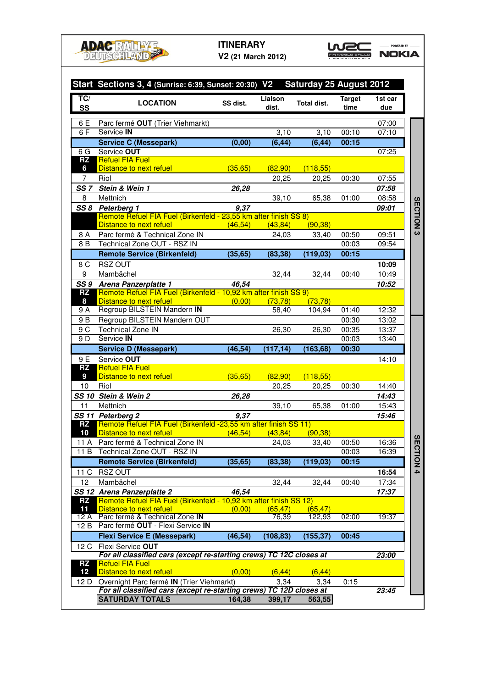

## **ITINERARY**

**V2 (21 March 2012)**

WEC -

| TC/                                    | Start Sections 3, 4 (Sunrise: 6:39, Sunset: 20:30) V2 Saturday 25 August 2012                                    |          | Liaison   |                   | <b>Target</b>  | 1st car        |
|----------------------------------------|------------------------------------------------------------------------------------------------------------------|----------|-----------|-------------------|----------------|----------------|
| <b>SS</b>                              | <b>LOCATION</b>                                                                                                  | SS dist. | dist.     | Total dist.       | time           | due            |
| 6 E                                    | Parc fermé OUT (Trier Viehmarkt)                                                                                 |          |           |                   |                | 07:00          |
| 6 F                                    | Service IN                                                                                                       |          | 3,10      | $\overline{3,10}$ | 00:10          | 07:10          |
|                                        | <b>Service C (Messepark)</b>                                                                                     | (0,00)   | (6, 44)   | (6, 44)           | 00:15          |                |
| 6G                                     | Service OUT                                                                                                      |          |           |                   |                | 07:25          |
| <b>RZ</b>                              | <b>Refuel FIA Fuel</b>                                                                                           |          |           |                   |                |                |
| 6                                      | Distance to next refuel                                                                                          | (35, 65) | (82, 90)  | (118,55)          |                |                |
| 7                                      | Riol<br>Stein & Wein 1                                                                                           |          | 20,25     | 20,25             | 00:30          | 07:55          |
| SS <sub>7</sub><br>8                   | Mettnich                                                                                                         | 26,28    |           |                   | 01:00          | 07:58<br>08:58 |
| SS 8                                   |                                                                                                                  | 9.37     | 39,10     | 65,38             |                | 09:01          |
|                                        | Peterberg 1<br>Remote Refuel FIA Fuel (Birkenfeld - 23,55 km after finish SS 8)                                  |          |           |                   |                |                |
|                                        | Distance to next refuel                                                                                          | (46.54)  | (43, 84)  | (90, 38)          |                |                |
| 8 A                                    | Parc fermé & Technical Zone IN                                                                                   |          | 24,03     | 33,40             | 00:50          | 09:51          |
| 8 B                                    | Technical Zone OUT - RSZ IN                                                                                      |          |           |                   | 00:03          | 09:54          |
|                                        | <b>Remote Service (Birkenfeld)</b>                                                                               | (35, 65) | (83, 38)  | (119,03)          | 00:15          |                |
| 8 C                                    | <b>RSZ OUT</b>                                                                                                   |          |           |                   |                | 10:09          |
| 9                                      | Mambächel                                                                                                        |          | 32,44     | 32,44             | 00:40          | 10:49          |
| SS 9                                   | Arena Panzerplatte 1                                                                                             | 46.54    |           |                   |                | 10:52          |
| <b>RZ</b>                              | Remote Refuel FIA Fuel (Birkenfeld - 10,92 km after finish SS 9)                                                 |          |           |                   |                |                |
| 8                                      | Distance to next refuel<br>Regroup BILSTEIN Mandern IN                                                           | (0.00)   | (73.78)   | (73, 78)          |                |                |
| 9 A                                    |                                                                                                                  |          | 58,40     | 104,94            | 01:40          | 12:32          |
| 9 B                                    | Regroup BILSTEIN Mandern OUT                                                                                     |          |           |                   | 00:30          | 13:02          |
| 9 C<br>9 D                             | <b>Technical Zone IN</b><br>Service IN                                                                           |          | 26,30     | 26,30             | 00:35<br>00:03 | 13:37<br>13:40 |
|                                        | <b>Service D (Messepark)</b>                                                                                     | (46, 54) | (117, 14) | (163, 68)         | 00:30          |                |
| 9 E                                    | Service OUT                                                                                                      |          |           |                   |                | 14:10          |
| <b>RZ</b>                              | <b>Refuel FIA Fuel</b>                                                                                           |          |           |                   |                |                |
| 9                                      | Distance to next refuel                                                                                          | (35, 65) | (82, 90)  | (118,55)          |                |                |
| 10                                     | Riol                                                                                                             |          | 20,25     | 20,25             | 00:30          | 14:40          |
|                                        | SS 10 Stein & Wein 2                                                                                             | 26,28    |           |                   |                | 14:43          |
| 11                                     | Mettnich                                                                                                         |          | 39,10     | 65,38             | 01:00          | 15:43          |
|                                        | SS 11 Peterberg 2                                                                                                | 9,37     |           |                   |                | 15:46          |
| <b>RZ</b>                              | Remote Refuel FIA Fuel (Birkenfeld -23,55 km after finish SS 11)                                                 |          |           |                   |                |                |
| 10                                     | Distance to next refuel (46,54)                                                                                  |          | (43, 84)  | (90, 38)          |                |                |
|                                        | 11 A Parc fermé & Technical Zone IN<br>11 B Technical Zone OUT - RSZ IN                                          |          | 24,03     | 33,40             | 00:50          | 16:36<br>16:39 |
|                                        | <b>Remote Service (Birkenfeld)</b>                                                                               | (35, 65) | (83, 38)  | (119, 03)         | 00:03<br>00:15 |                |
|                                        |                                                                                                                  |          |           |                   |                |                |
| 12                                     | 11 C RSZ OUT                                                                                                     |          |           |                   | 00:40          | 16:54          |
|                                        | Mambächel<br>SS 12 Arena Panzerplatte 2                                                                          | 46.54    | 32,44     | 32,44             |                | 17:34<br>17:37 |
| <b>RZ</b>                              | Remote Refuel FIA Fuel (Birkenfeld - 10,92 km after finish SS 12)                                                |          |           |                   |                |                |
|                                        | Distance to next refuel                                                                                          | (0.00)   | (65, 47)  | (65, 47)          |                |                |
|                                        | Parc fermé & Technical Zone IN                                                                                   |          | 76.39     | 122,93            | 02:00          | 19:37          |
|                                        |                                                                                                                  |          |           |                   |                |                |
|                                        | Parc fermé OUT - Flexi Service IN                                                                                | (46, 54) | (108, 83) | (155, 37)         | 00:45          |                |
|                                        | <b>Flexi Service E (Messepark)</b>                                                                               |          |           |                   |                |                |
|                                        | Flexi Service OUT                                                                                                |          |           |                   |                |                |
|                                        | For all classified cars (except re-starting crews) TC 12C closes at                                              |          |           |                   |                | 23:00          |
| 11<br>12 A<br>12B<br>12 C<br><b>RZ</b> | <b>Refuel FIA Fuel</b>                                                                                           |          |           |                   |                |                |
|                                        | Distance to next refuel                                                                                          | (0,00)   | (6, 44)   | (6, 44)           |                |                |
| 12<br>12 D                             | Overnight Parc fermé IN (Trier Viehmarkt)<br>For all classified cars (except re-starting crews) TC 12D closes at |          | 3,34      | 3,34              | 0:15           | 23:45          |